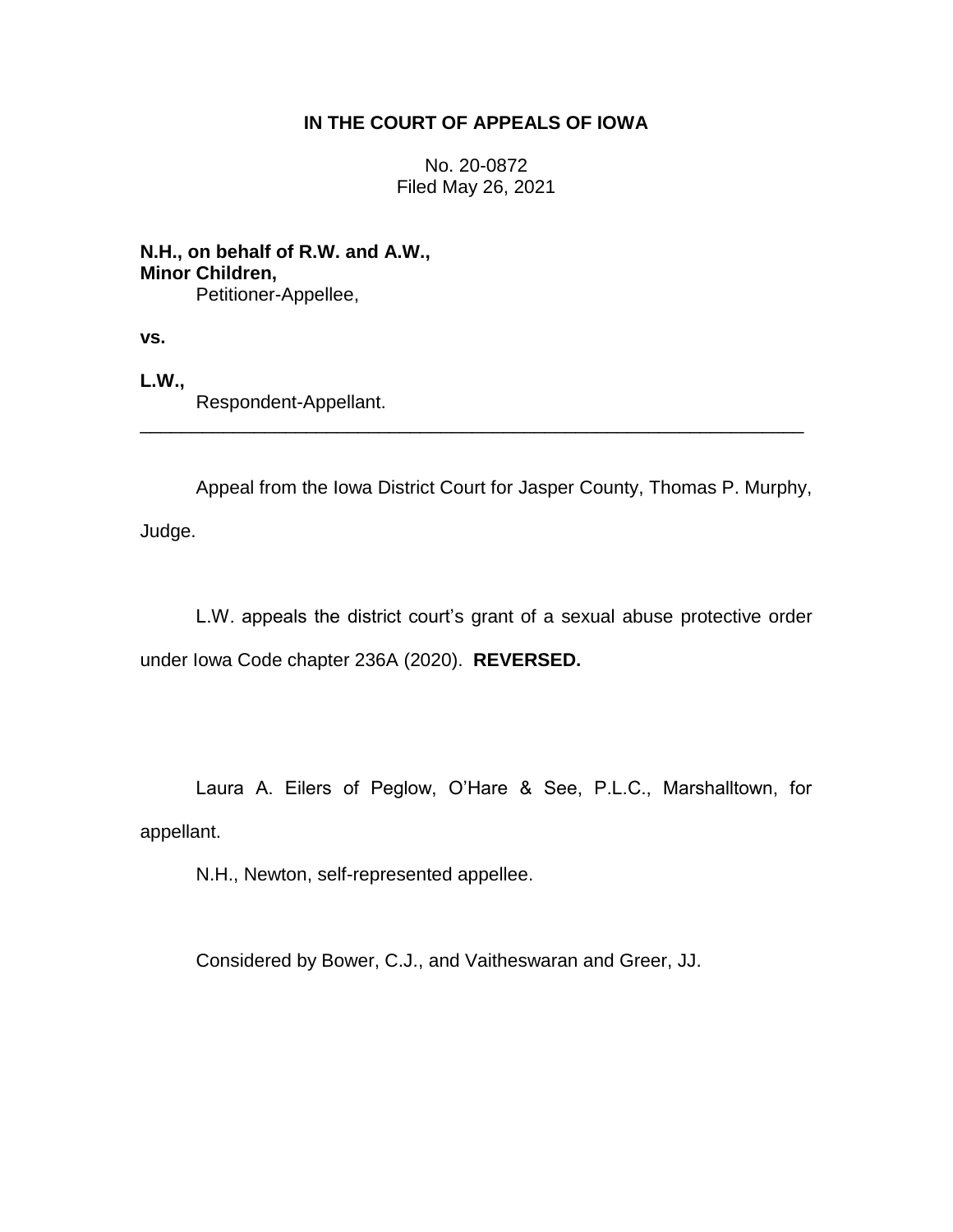# **IN THE COURT OF APPEALS OF IOWA**

No. 20-0872 Filed May 26, 2021

**N.H., on behalf of R.W. and A.W., Minor Children,** Petitioner-Appellee,

**vs.**

**L.W.,**

Respondent-Appellant.

Appeal from the Iowa District Court for Jasper County, Thomas P. Murphy, Judge.

\_\_\_\_\_\_\_\_\_\_\_\_\_\_\_\_\_\_\_\_\_\_\_\_\_\_\_\_\_\_\_\_\_\_\_\_\_\_\_\_\_\_\_\_\_\_\_\_\_\_\_\_\_\_\_\_\_\_\_\_\_\_\_\_

L.W. appeals the district court's grant of a sexual abuse protective order under Iowa Code chapter 236A (2020). **REVERSED.**

Laura A. Eilers of Peglow, O'Hare & See, P.L.C., Marshalltown, for appellant.

N.H., Newton, self-represented appellee.

Considered by Bower, C.J., and Vaitheswaran and Greer, JJ.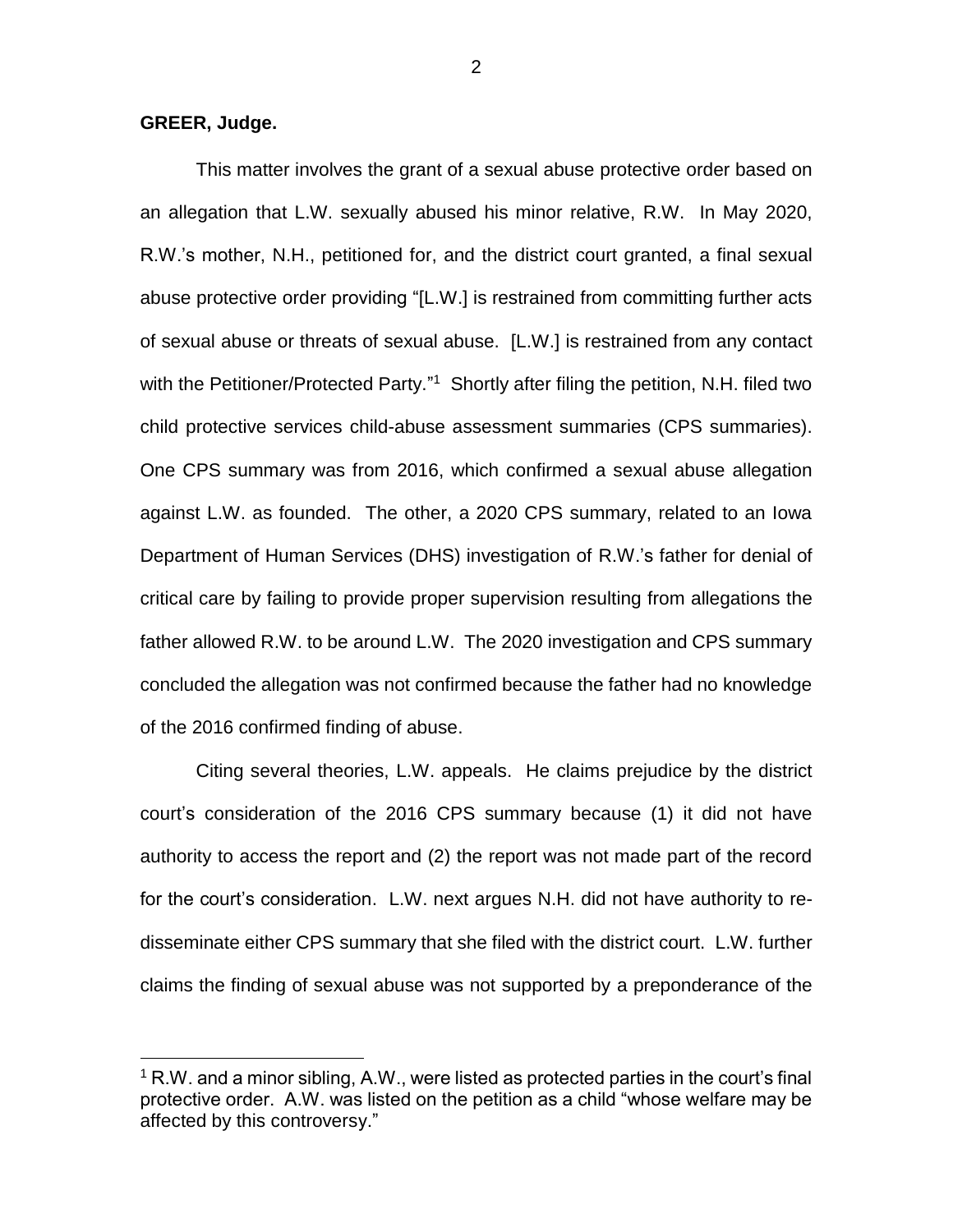## **GREER, Judge.**

 $\overline{a}$ 

This matter involves the grant of a sexual abuse protective order based on an allegation that L.W. sexually abused his minor relative, R.W. In May 2020, R.W.'s mother, N.H., petitioned for, and the district court granted, a final sexual abuse protective order providing "[L.W.] is restrained from committing further acts of sexual abuse or threats of sexual abuse. [L.W.] is restrained from any contact with the Petitioner/Protected Party."<sup>1</sup> Shortly after filing the petition, N.H. filed two child protective services child-abuse assessment summaries (CPS summaries). One CPS summary was from 2016, which confirmed a sexual abuse allegation against L.W. as founded. The other, a 2020 CPS summary, related to an Iowa Department of Human Services (DHS) investigation of R.W.'s father for denial of critical care by failing to provide proper supervision resulting from allegations the father allowed R.W. to be around L.W. The 2020 investigation and CPS summary concluded the allegation was not confirmed because the father had no knowledge of the 2016 confirmed finding of abuse.

Citing several theories, L.W. appeals. He claims prejudice by the district court's consideration of the 2016 CPS summary because (1) it did not have authority to access the report and (2) the report was not made part of the record for the court's consideration. L.W. next argues N.H. did not have authority to redisseminate either CPS summary that she filed with the district court. L.W. further claims the finding of sexual abuse was not supported by a preponderance of the

 $1$  R.W. and a minor sibling, A.W., were listed as protected parties in the court's final protective order. A.W. was listed on the petition as a child "whose welfare may be affected by this controversy."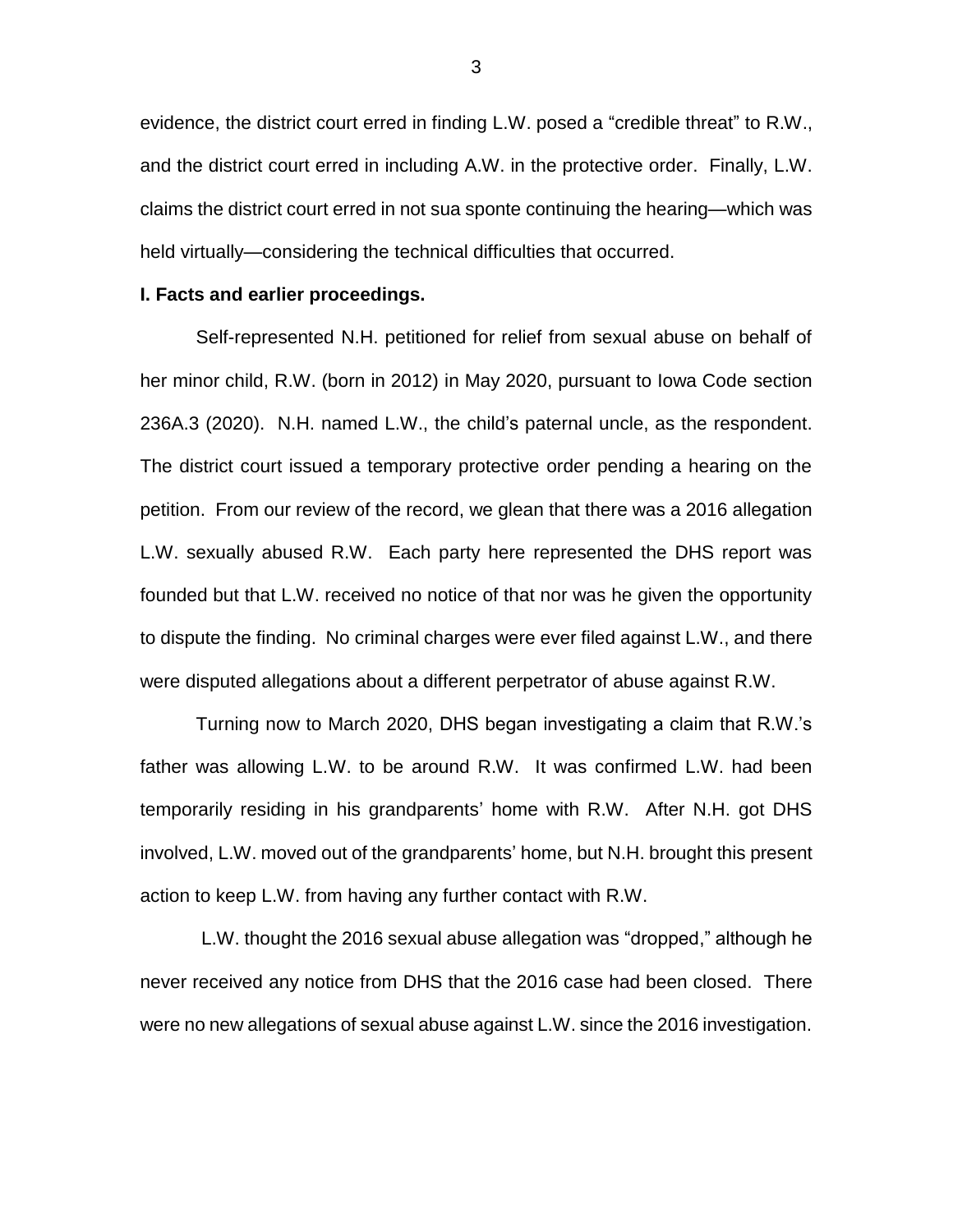evidence, the district court erred in finding L.W. posed a "credible threat" to R.W., and the district court erred in including A.W. in the protective order. Finally, L.W. claims the district court erred in not sua sponte continuing the hearing—which was held virtually—considering the technical difficulties that occurred.

### **I. Facts and earlier proceedings.**

Self-represented N.H. petitioned for relief from sexual abuse on behalf of her minor child, R.W. (born in 2012) in May 2020, pursuant to Iowa Code section 236A.3 (2020). N.H. named L.W., the child's paternal uncle, as the respondent. The district court issued a temporary protective order pending a hearing on the petition. From our review of the record, we glean that there was a 2016 allegation L.W. sexually abused R.W. Each party here represented the DHS report was founded but that L.W. received no notice of that nor was he given the opportunity to dispute the finding. No criminal charges were ever filed against L.W., and there were disputed allegations about a different perpetrator of abuse against R.W.

Turning now to March 2020, DHS began investigating a claim that R.W.'s father was allowing L.W. to be around R.W. It was confirmed L.W. had been temporarily residing in his grandparents' home with R.W. After N.H. got DHS involved, L.W. moved out of the grandparents' home, but N.H. brought this present action to keep L.W. from having any further contact with R.W.

L.W. thought the 2016 sexual abuse allegation was "dropped," although he never received any notice from DHS that the 2016 case had been closed. There were no new allegations of sexual abuse against L.W. since the 2016 investigation.

3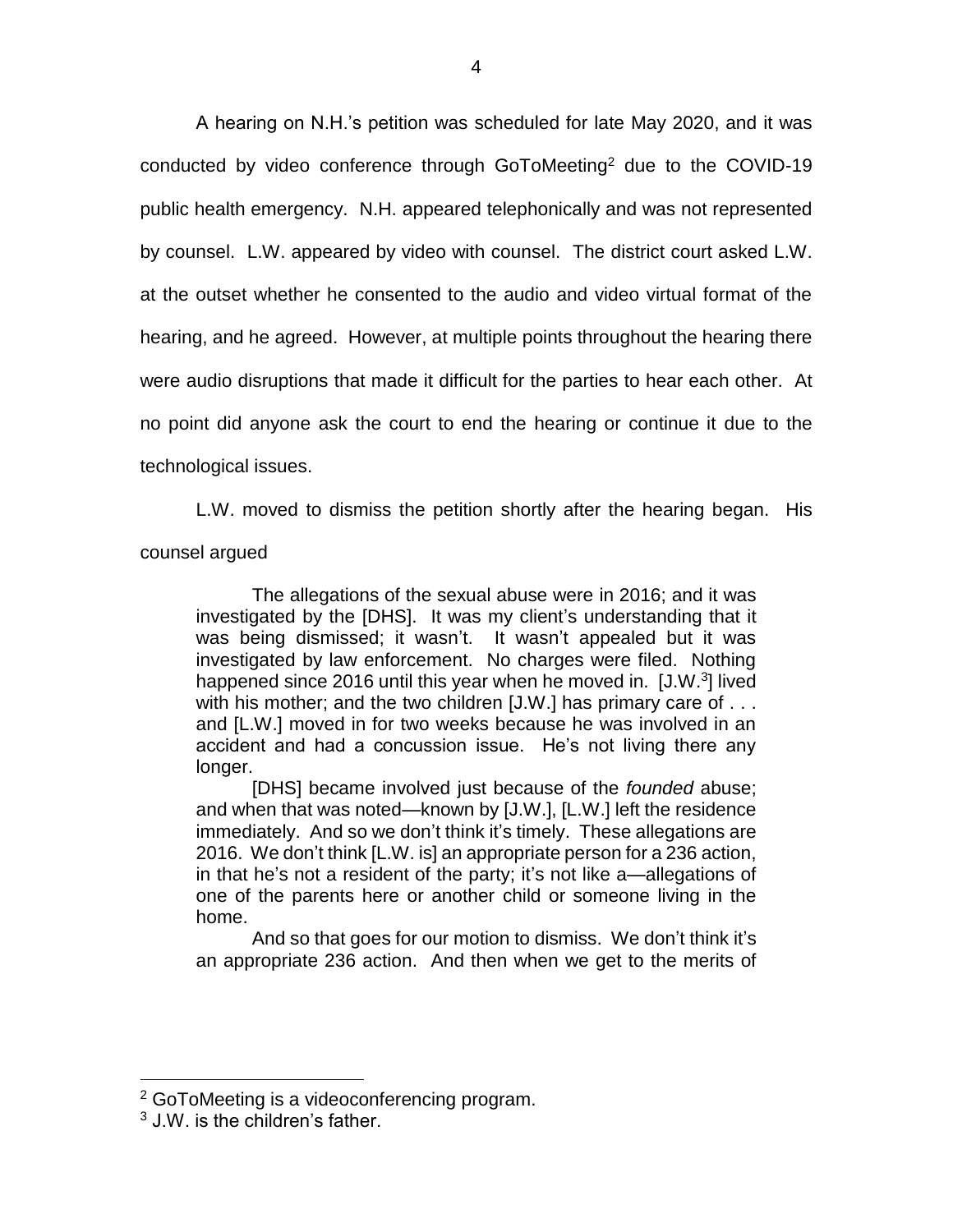A hearing on N.H.'s petition was scheduled for late May 2020, and it was conducted by video conference through GoToMeeting<sup>2</sup> due to the COVID-19 public health emergency. N.H. appeared telephonically and was not represented by counsel. L.W. appeared by video with counsel. The district court asked L.W. at the outset whether he consented to the audio and video virtual format of the hearing, and he agreed. However, at multiple points throughout the hearing there were audio disruptions that made it difficult for the parties to hear each other. At no point did anyone ask the court to end the hearing or continue it due to the technological issues.

L.W. moved to dismiss the petition shortly after the hearing began. His counsel argued

The allegations of the sexual abuse were in 2016; and it was investigated by the [DHS]. It was my client's understanding that it was being dismissed; it wasn't. It wasn't appealed but it was investigated by law enforcement. No charges were filed. Nothing happened since 2016 until this year when he moved in. [J.W.<sup>3</sup>] lived with his mother; and the two children [J.W.] has primary care of . . . and [L.W.] moved in for two weeks because he was involved in an accident and had a concussion issue. He's not living there any longer.

[DHS] became involved just because of the *founded* abuse; and when that was noted—known by [J.W.], [L.W.] left the residence immediately. And so we don't think it's timely. These allegations are 2016. We don't think [L.W. is] an appropriate person for a 236 action, in that he's not a resident of the party; it's not like a—allegations of one of the parents here or another child or someone living in the home.

And so that goes for our motion to dismiss. We don't think it's an appropriate 236 action. And then when we get to the merits of

 $2$  GoToMeeting is a videoconferencing program.

<sup>3</sup> J.W. is the children's father.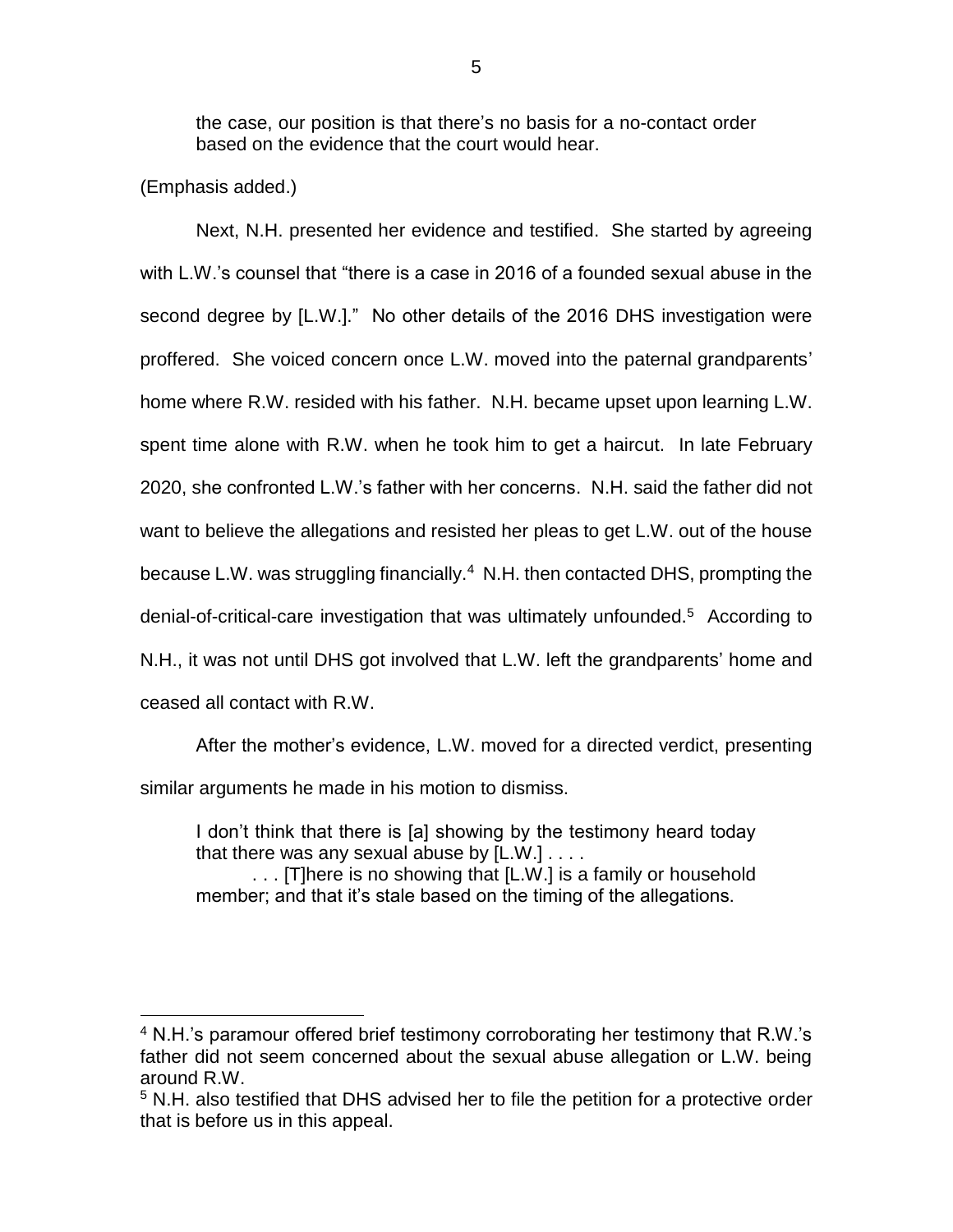the case, our position is that there's no basis for a no-contact order based on the evidence that the court would hear.

(Emphasis added.)

 $\overline{a}$ 

Next, N.H. presented her evidence and testified. She started by agreeing with L.W.'s counsel that "there is a case in 2016 of a founded sexual abuse in the second degree by [L.W.]." No other details of the 2016 DHS investigation were proffered. She voiced concern once L.W. moved into the paternal grandparents' home where R.W. resided with his father. N.H. became upset upon learning L.W. spent time alone with R.W. when he took him to get a haircut. In late February 2020, she confronted L.W.'s father with her concerns. N.H. said the father did not want to believe the allegations and resisted her pleas to get L.W. out of the house because L.W. was struggling financially.<sup>4</sup> N.H. then contacted DHS, prompting the denial-of-critical-care investigation that was ultimately unfounded.<sup>5</sup> According to N.H., it was not until DHS got involved that L.W. left the grandparents' home and ceased all contact with R.W.

After the mother's evidence, L.W. moved for a directed verdict, presenting similar arguments he made in his motion to dismiss.

I don't think that there is [a] showing by the testimony heard today that there was any sexual abuse by  $[L.W.] \ldots$ .

. . . [T]here is no showing that [L.W.] is a family or household member; and that it's stale based on the timing of the allegations.

<sup>4</sup> N.H.'s paramour offered brief testimony corroborating her testimony that R.W.'s father did not seem concerned about the sexual abuse allegation or L.W. being around R.W.

<sup>&</sup>lt;sup>5</sup> N.H. also testified that DHS advised her to file the petition for a protective order that is before us in this appeal.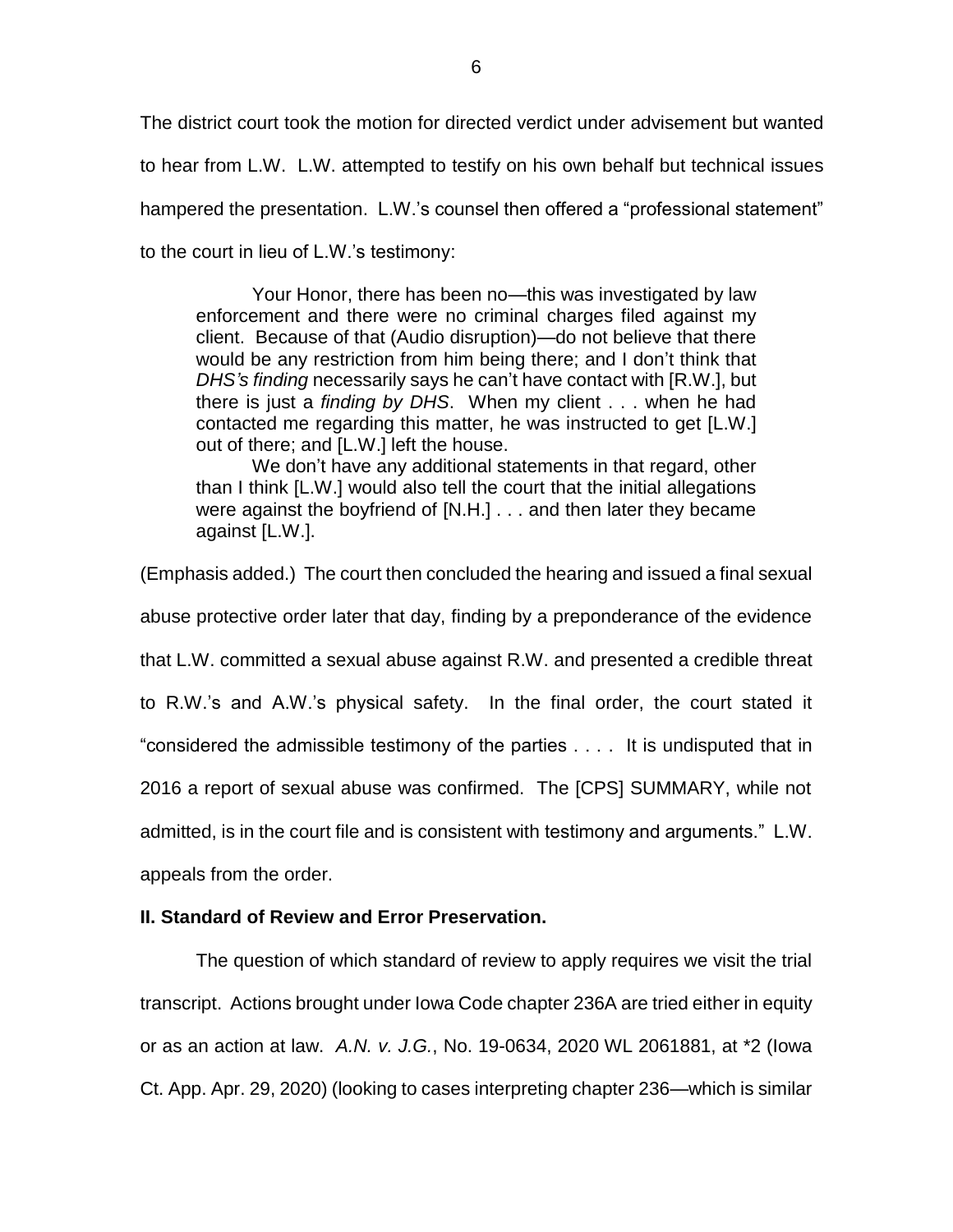The district court took the motion for directed verdict under advisement but wanted to hear from L.W. L.W. attempted to testify on his own behalf but technical issues hampered the presentation. L.W.'s counsel then offered a "professional statement" to the court in lieu of L.W.'s testimony:

Your Honor, there has been no—this was investigated by law enforcement and there were no criminal charges filed against my client. Because of that (Audio disruption)—do not believe that there would be any restriction from him being there; and I don't think that *DHS's finding* necessarily says he can't have contact with [R.W.], but there is just a *finding by DHS*. When my client . . . when he had contacted me regarding this matter, he was instructed to get [L.W.] out of there; and [L.W.] left the house.

We don't have any additional statements in that regard, other than I think [L.W.] would also tell the court that the initial allegations were against the boyfriend of [N.H.] . . . and then later they became against [L.W.].

(Emphasis added.) The court then concluded the hearing and issued a final sexual abuse protective order later that day, finding by a preponderance of the evidence that L.W. committed a sexual abuse against R.W. and presented a credible threat to R.W.'s and A.W.'s physical safety. In the final order, the court stated it "considered the admissible testimony of the parties . . . . It is undisputed that in 2016 a report of sexual abuse was confirmed. The [CPS] SUMMARY, while not admitted, is in the court file and is consistent with testimony and arguments." L.W. appeals from the order.

# **II. Standard of Review and Error Preservation.**

The question of which standard of review to apply requires we visit the trial transcript. Actions brought under Iowa Code chapter 236A are tried either in equity or as an action at law. *A.N. v. J.G.*, No. 19-0634, 2020 WL 2061881, at \*2 (Iowa Ct. App. Apr. 29, 2020) (looking to cases interpreting chapter 236—which is similar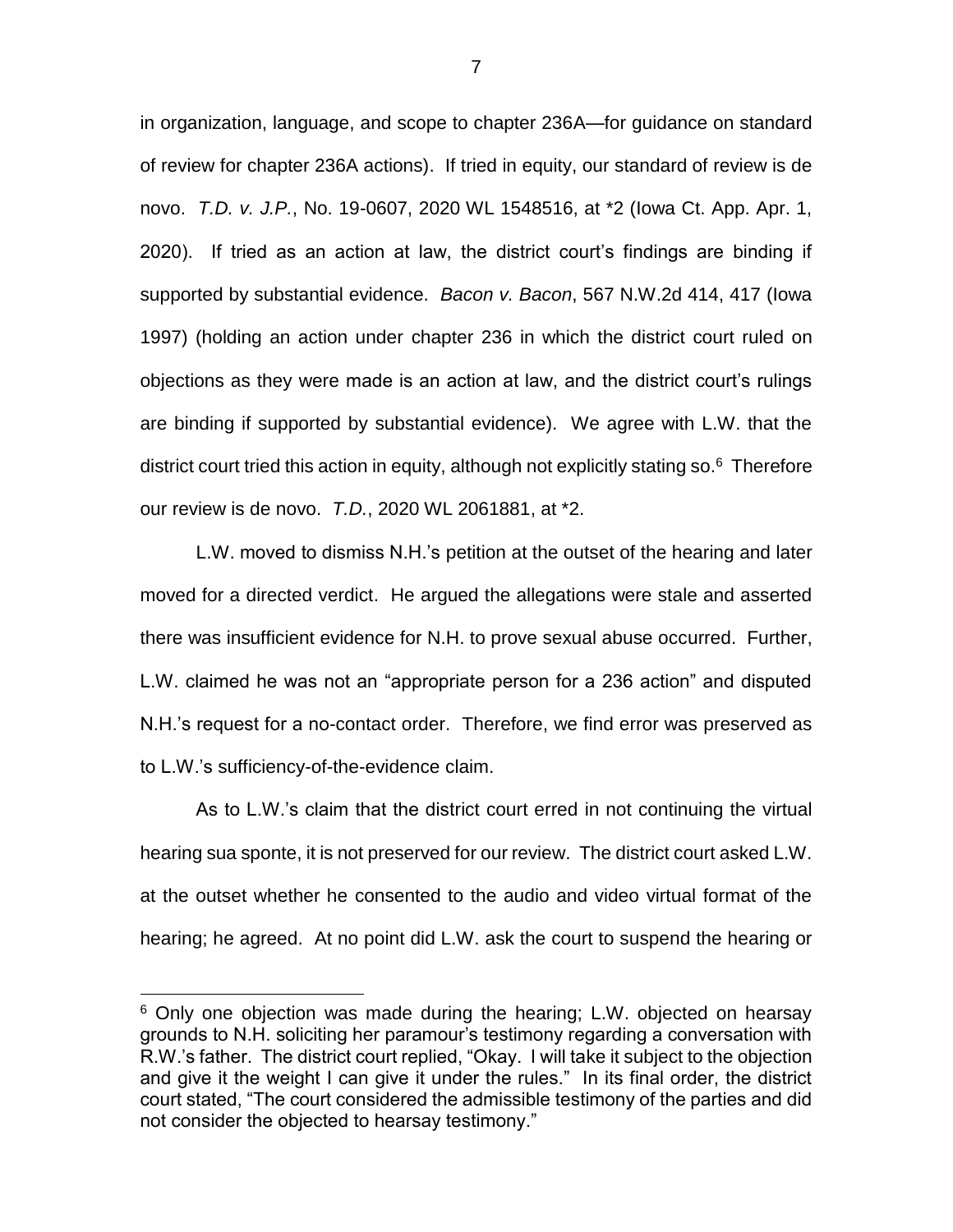in organization, language, and scope to chapter 236A—for guidance on standard of review for chapter 236A actions). If tried in equity, our standard of review is de novo. *T.D. v. J.P.*, No. 19-0607, 2020 WL 1548516, at \*2 (Iowa Ct. App. Apr. 1, 2020). If tried as an action at law, the district court's findings are binding if supported by substantial evidence. *Bacon v. Bacon*, 567 N.W.2d 414, 417 (Iowa 1997) (holding an action under chapter 236 in which the district court ruled on objections as they were made is an action at law, and the district court's rulings are binding if supported by substantial evidence). We agree with L.W. that the district court tried this action in equity, although not explicitly stating so.<sup>6</sup> Therefore our review is de novo. *T.D.*, 2020 WL 2061881, at \*2.

L.W. moved to dismiss N.H.'s petition at the outset of the hearing and later moved for a directed verdict. He argued the allegations were stale and asserted there was insufficient evidence for N.H. to prove sexual abuse occurred. Further, L.W. claimed he was not an "appropriate person for a 236 action" and disputed N.H.'s request for a no-contact order. Therefore, we find error was preserved as to L.W.'s sufficiency-of-the-evidence claim.

As to L.W.'s claim that the district court erred in not continuing the virtual hearing sua sponte, it is not preserved for our review. The district court asked L.W. at the outset whether he consented to the audio and video virtual format of the hearing; he agreed. At no point did L.W. ask the court to suspend the hearing or

<sup>&</sup>lt;sup>6</sup> Only one objection was made during the hearing; L.W. objected on hearsay grounds to N.H. soliciting her paramour's testimony regarding a conversation with R.W.'s father. The district court replied, "Okay. I will take it subject to the objection and give it the weight I can give it under the rules." In its final order, the district court stated, "The court considered the admissible testimony of the parties and did not consider the objected to hearsay testimony."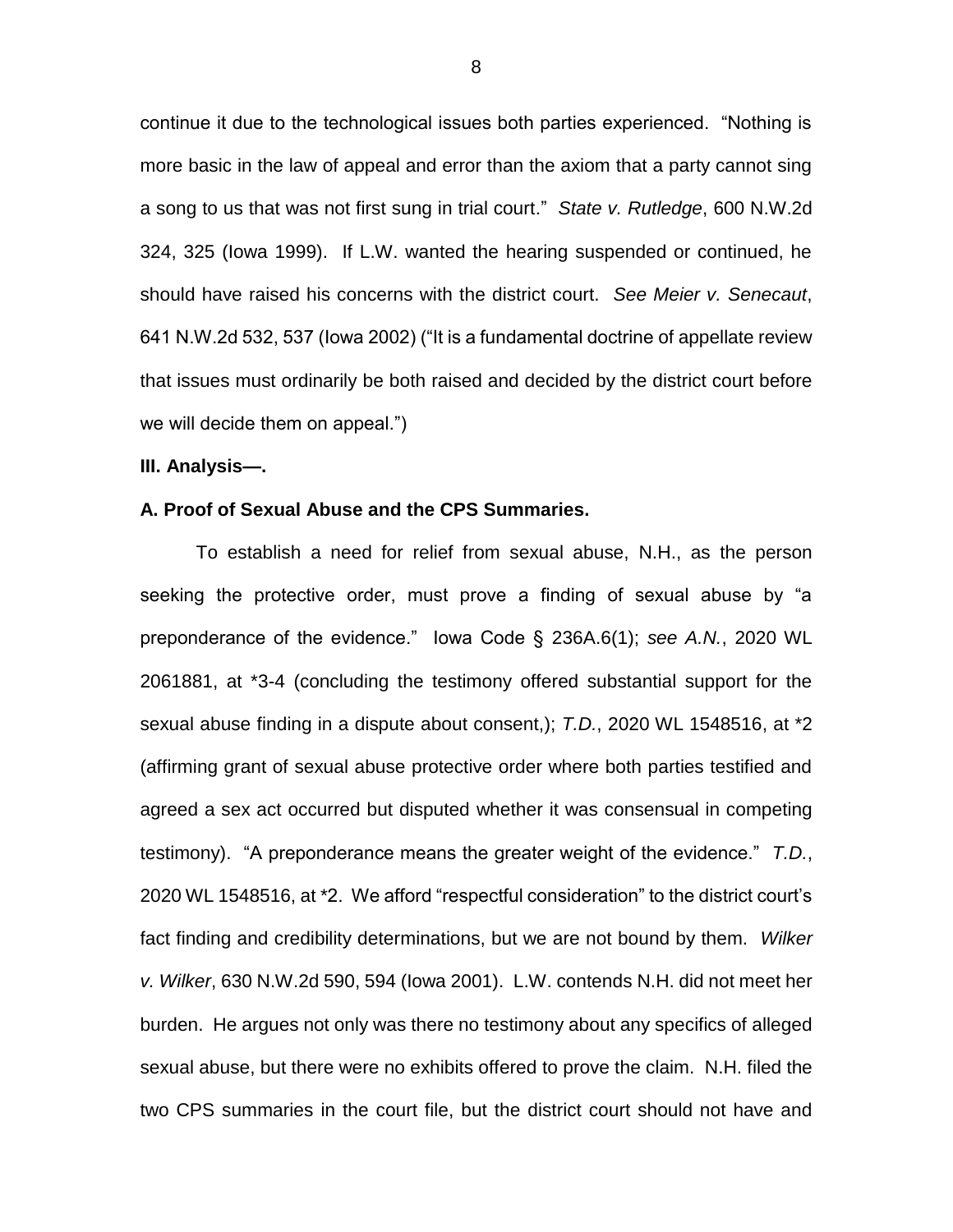continue it due to the technological issues both parties experienced. "Nothing is more basic in the law of appeal and error than the axiom that a party cannot sing a song to us that was not first sung in trial court." *State v. Rutledge*, 600 N.W.2d 324, 325 (Iowa 1999). If L.W. wanted the hearing suspended or continued, he should have raised his concerns with the district court. *See Meier v. Senecaut*, 641 N.W.2d 532, 537 (Iowa 2002) ("It is a fundamental doctrine of appellate review that issues must ordinarily be both raised and decided by the district court before we will decide them on appeal.")

#### **III. Analysis—.**

### **A. Proof of Sexual Abuse and the CPS Summaries.**

To establish a need for relief from sexual abuse, N.H., as the person seeking the protective order, must prove a finding of sexual abuse by "a preponderance of the evidence." Iowa Code § 236A.6(1); *see A.N.*, 2020 WL 2061881, at \*3-4 (concluding the testimony offered substantial support for the sexual abuse finding in a dispute about consent,); *T.D.*, 2020 WL 1548516, at \*2 (affirming grant of sexual abuse protective order where both parties testified and agreed a sex act occurred but disputed whether it was consensual in competing testimony). "A preponderance means the greater weight of the evidence." *T.D.*, 2020 WL 1548516, at \*2. We afford "respectful consideration" to the district court's fact finding and credibility determinations, but we are not bound by them. *Wilker v. Wilker*, 630 N.W.2d 590, 594 (Iowa 2001). L.W. contends N.H. did not meet her burden. He argues not only was there no testimony about any specifics of alleged sexual abuse, but there were no exhibits offered to prove the claim. N.H. filed the two CPS summaries in the court file, but the district court should not have and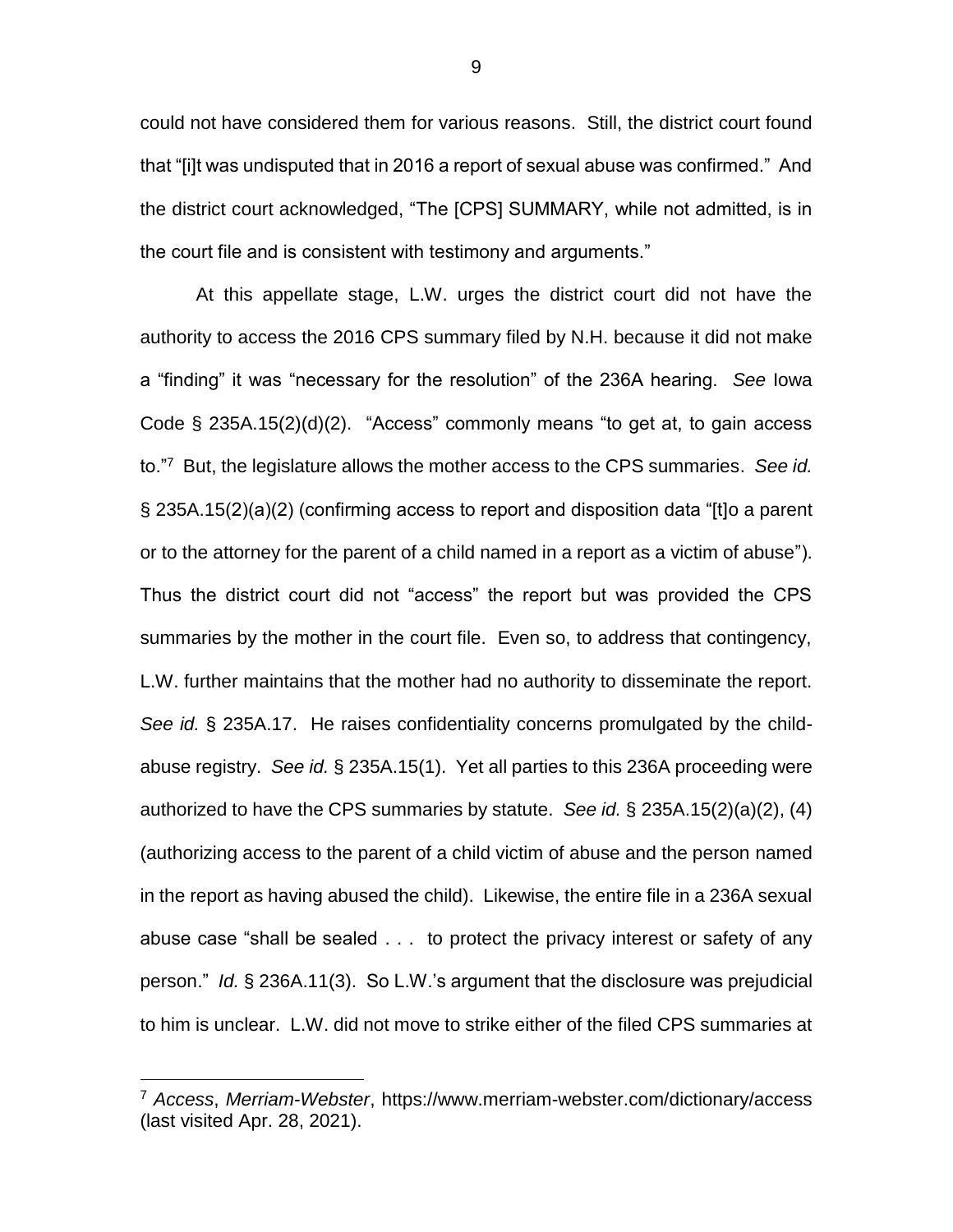could not have considered them for various reasons. Still, the district court found that "[i]t was undisputed that in 2016 a report of sexual abuse was confirmed." And the district court acknowledged, "The [CPS] SUMMARY, while not admitted, is in the court file and is consistent with testimony and arguments."

At this appellate stage, L.W. urges the district court did not have the authority to access the 2016 CPS summary filed by N.H. because it did not make a "finding" it was "necessary for the resolution" of the 236A hearing. *See* Iowa Code § 235A.15(2)(d)(2). "Access" commonly means "to get at, to gain access to."<sup>7</sup> But, the legislature allows the mother access to the CPS summaries. *See id.* § 235A.15(2)(a)(2) (confirming access to report and disposition data "[t]o a parent or to the attorney for the parent of a child named in a report as a victim of abuse"). Thus the district court did not "access" the report but was provided the CPS summaries by the mother in the court file. Even so, to address that contingency, L.W. further maintains that the mother had no authority to disseminate the report. *See id.* § 235A.17. He raises confidentiality concerns promulgated by the childabuse registry. *See id.* § 235A.15(1). Yet all parties to this 236A proceeding were authorized to have the CPS summaries by statute. *See id.* § 235A.15(2)(a)(2), (4) (authorizing access to the parent of a child victim of abuse and the person named in the report as having abused the child). Likewise, the entire file in a 236A sexual abuse case "shall be sealed . . . to protect the privacy interest or safety of any person." *Id.* § 236A.11(3). So L.W.'s argument that the disclosure was prejudicial to him is unclear. L.W. did not move to strike either of the filed CPS summaries at

<sup>7</sup> *Access*, *Merriam-Webster*, https://www.merriam-webster.com/dictionary/access (last visited Apr. 28, 2021).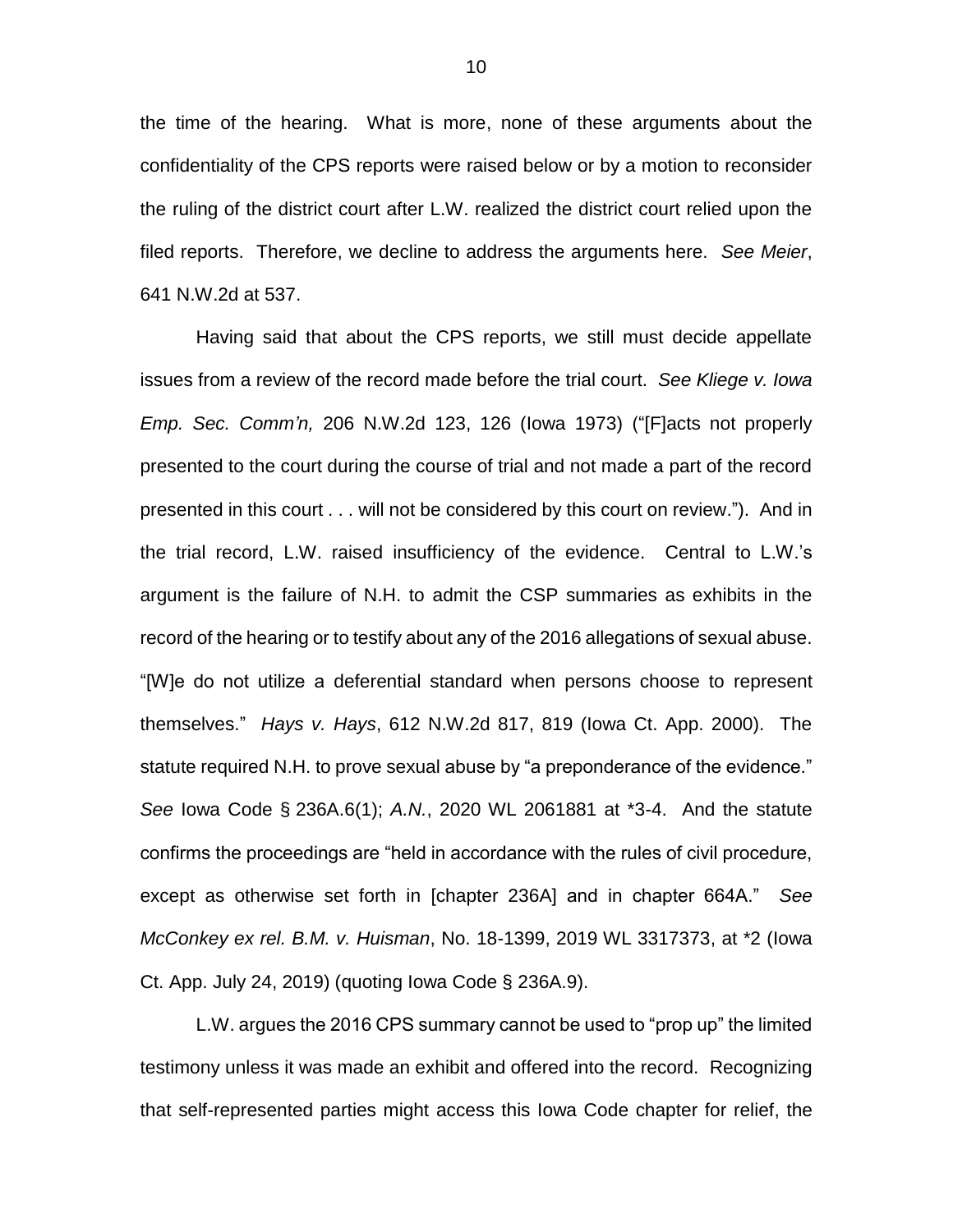the time of the hearing. What is more, none of these arguments about the confidentiality of the CPS reports were raised below or by a motion to reconsider the ruling of the district court after L.W. realized the district court relied upon the filed reports. Therefore, we decline to address the arguments here. *See Meier*, 641 N.W.2d at 537.

Having said that about the CPS reports, we still must decide appellate issues from a review of the record made before the trial court. *See Kliege v. Iowa Emp. Sec. Comm'n,* 206 N.W.2d 123, 126 (Iowa 1973) ("[F]acts not properly presented to the court during the course of trial and not made a part of the record presented in this court . . . will not be considered by this court on review."). And in the trial record, L.W. raised insufficiency of the evidence. Central to L.W.'s argument is the failure of N.H. to admit the CSP summaries as exhibits in the record of the hearing or to testify about any of the 2016 allegations of sexual abuse. "[W]e do not utilize a deferential standard when persons choose to represent themselves." *Hays v. Hays*, 612 N.W.2d 817, 819 (Iowa Ct. App. 2000). The statute required N.H. to prove sexual abuse by "a preponderance of the evidence." *See* Iowa Code § 236A.6(1); *A.N.*, 2020 WL 2061881 at \*3-4. And the statute confirms the proceedings are "held in accordance with the rules of civil procedure, except as otherwise set forth in [chapter 236A] and in chapter 664A." *See McConkey ex rel. B.M. v. Huisman*, No. 18-1399, 2019 WL 3317373, at \*2 (Iowa Ct. App. July 24, 2019) (quoting Iowa Code § 236A.9).

L.W. argues the 2016 CPS summary cannot be used to "prop up" the limited testimony unless it was made an exhibit and offered into the record. Recognizing that self-represented parties might access this Iowa Code chapter for relief, the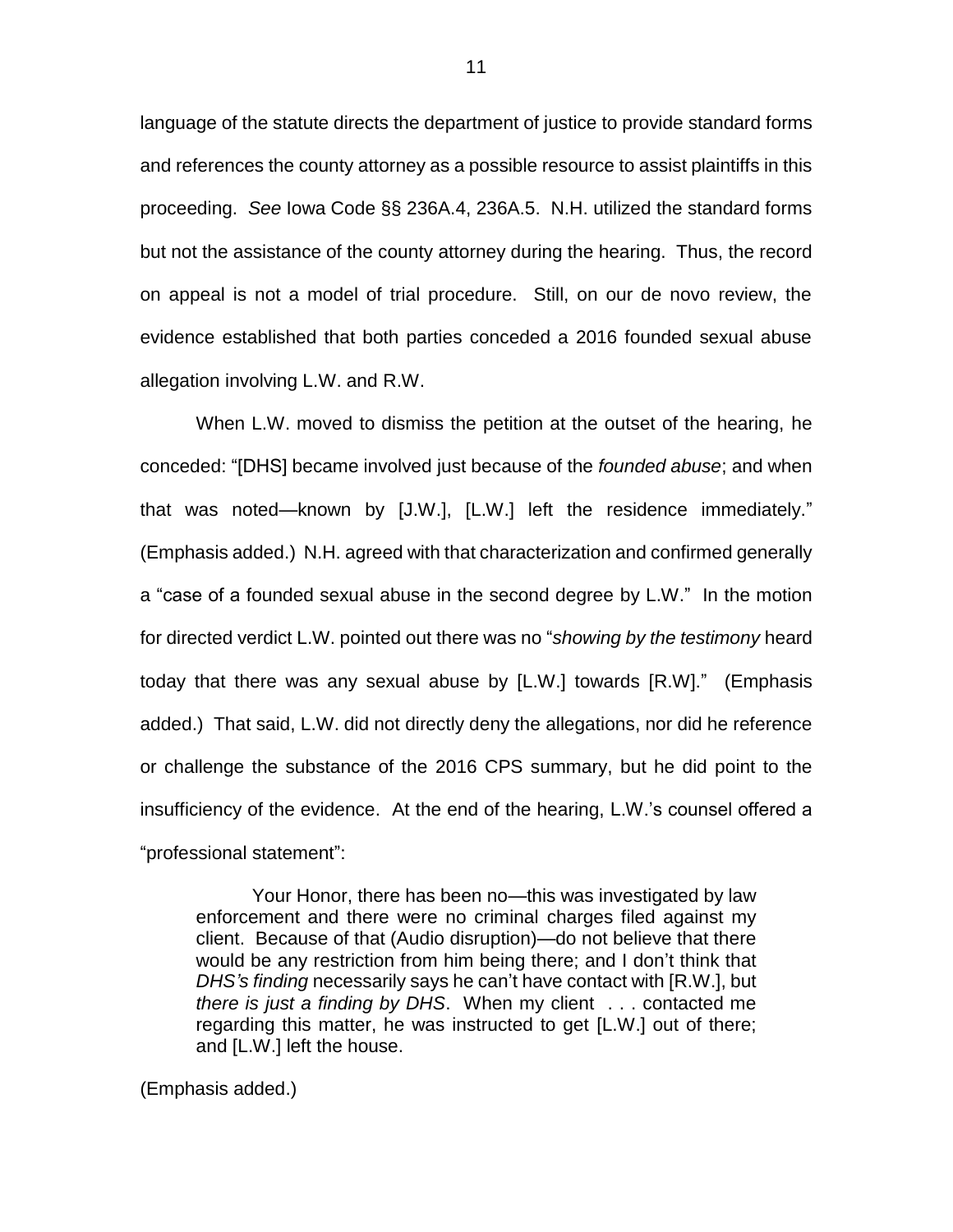language of the statute directs the department of justice to provide standard forms and references the county attorney as a possible resource to assist plaintiffs in this proceeding. *See* Iowa Code §§ 236A.4, 236A.5. N.H. utilized the standard forms but not the assistance of the county attorney during the hearing. Thus, the record on appeal is not a model of trial procedure. Still, on our de novo review, the evidence established that both parties conceded a 2016 founded sexual abuse allegation involving L.W. and R.W.

When L.W. moved to dismiss the petition at the outset of the hearing, he conceded: "[DHS] became involved just because of the *founded abuse*; and when that was noted—known by [J.W.], [L.W.] left the residence immediately." (Emphasis added.) N.H. agreed with that characterization and confirmed generally a "case of a founded sexual abuse in the second degree by L.W." In the motion for directed verdict L.W. pointed out there was no "*showing by the testimony* heard today that there was any sexual abuse by [L.W.] towards [R.W]." (Emphasis added.) That said, L.W. did not directly deny the allegations, nor did he reference or challenge the substance of the 2016 CPS summary, but he did point to the insufficiency of the evidence. At the end of the hearing, L.W.'s counsel offered a "professional statement":

Your Honor, there has been no—this was investigated by law enforcement and there were no criminal charges filed against my client. Because of that (Audio disruption)—do not believe that there would be any restriction from him being there; and I don't think that *DHS's finding* necessarily says he can't have contact with [R.W.], but *there is just a finding by DHS*. When my client . . . contacted me regarding this matter, he was instructed to get [L.W.] out of there; and [L.W.] left the house.

(Emphasis added.)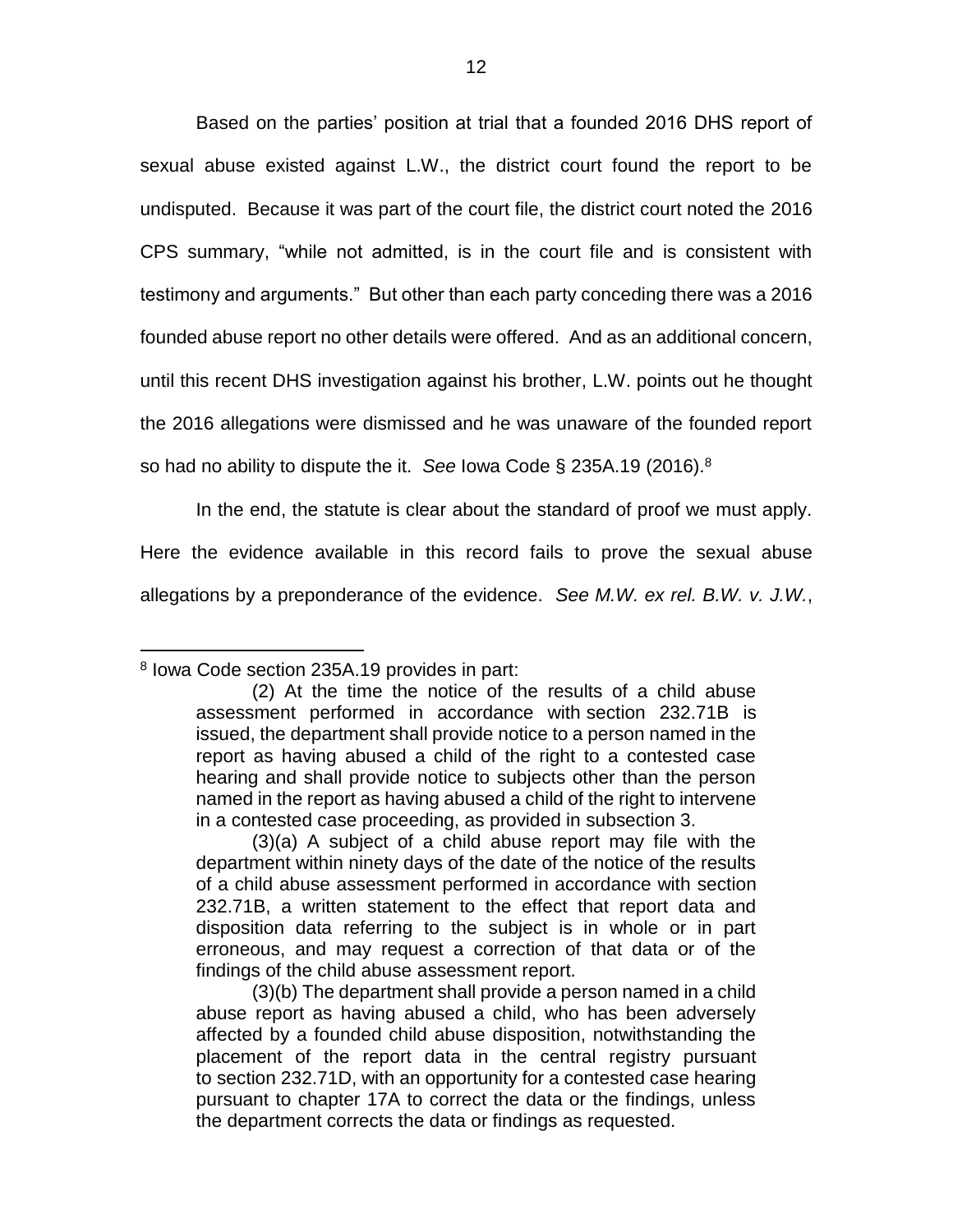Based on the parties' position at trial that a founded 2016 DHS report of sexual abuse existed against L.W., the district court found the report to be undisputed. Because it was part of the court file, the district court noted the 2016 CPS summary, "while not admitted, is in the court file and is consistent with testimony and arguments." But other than each party conceding there was a 2016 founded abuse report no other details were offered. And as an additional concern, until this recent DHS investigation against his brother, L.W. points out he thought the 2016 allegations were dismissed and he was unaware of the founded report so had no ability to dispute the it. *See* Iowa Code § 235A.19 (2016). 8

In the end, the statute is clear about the standard of proof we must apply. Here the evidence available in this record fails to prove the sexual abuse allegations by a preponderance of the evidence. *See M.W. ex rel. B.W. v. J.W.*,

<sup>8</sup> Iowa Code section 235A.19 provides in part:

<sup>(2)</sup> At the time the notice of the results of a child abuse assessment performed in accordance with section 232.71B is issued, the department shall provide notice to a person named in the report as having abused a child of the right to a contested case hearing and shall provide notice to subjects other than the person named in the report as having abused a child of the right to intervene in a contested case proceeding, as provided in subsection 3.

<sup>(3)(</sup>a) A subject of a child abuse report may file with the department within ninety days of the date of the notice of the results of a child abuse assessment performed in accordance with section 232.71B, a written statement to the effect that report data and disposition data referring to the subject is in whole or in part erroneous, and may request a correction of that data or of the findings of the child abuse assessment report.

<sup>(3)(</sup>b) The department shall provide a person named in a child abuse report as having abused a child, who has been adversely affected by a founded child abuse disposition, notwithstanding the placement of the report data in the central registry pursuant to section 232.71D, with an opportunity for a contested case hearing pursuant to chapter 17A to correct the data or the findings, unless the department corrects the data or findings as requested.